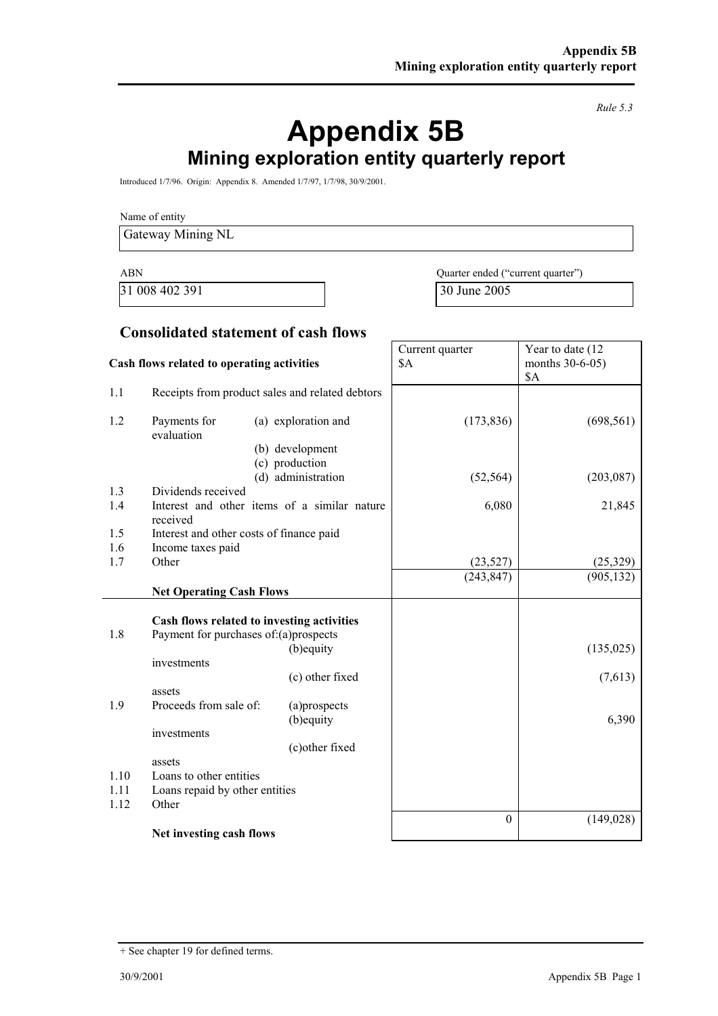*Rule 5.3*

# **Appendix 5B Mining exploration entity quarterly report**

Introduced 1/7/96. Origin: Appendix 8. Amended 1/7/97, 1/7/98, 30/9/2001.

Name of entity

Gateway Mining NL

31 008 402 391 30 June 2005

ABN Quarter ended ("current quarter")

Year to date (12

Current quarter

#### **Consolidated statement of cash flows**

| Cash flows related to operating activities |                                                                                     |                                                          | \$A              | months 30-6-05)<br>\$A |
|--------------------------------------------|-------------------------------------------------------------------------------------|----------------------------------------------------------|------------------|------------------------|
| 1.1                                        |                                                                                     | Receipts from product sales and related debtors          |                  |                        |
| 1.2                                        | Payments for<br>evaluation                                                          | (a) exploration and<br>(b) development<br>(c) production | (173, 836)       | (698, 561)             |
|                                            |                                                                                     | (d) administration                                       | (52, 564)        | (203, 087)             |
| 1.3<br>1.4                                 | Dividends received<br>received                                                      | Interest and other items of a similar nature             | 6,080            | 21,845                 |
| 1.5                                        | Interest and other costs of finance paid                                            |                                                          |                  |                        |
| 1.6                                        | Income taxes paid                                                                   |                                                          |                  |                        |
| 1.7                                        | Other                                                                               |                                                          | (23, 527)        | (25, 329)              |
|                                            | <b>Net Operating Cash Flows</b>                                                     |                                                          | (243, 847)       | (905, 132)             |
| 1.8                                        | Cash flows related to investing activities<br>Payment for purchases of:(a)prospects |                                                          |                  |                        |
|                                            |                                                                                     | (b) equity                                               |                  | (135, 025)             |
|                                            | investments                                                                         | (c) other fixed                                          |                  | (7,613)                |
|                                            | assets                                                                              |                                                          |                  |                        |
| 1.9                                        | Proceeds from sale of:                                                              | (a)prospects<br>(b) equity                               |                  | 6,390                  |
|                                            | investments                                                                         |                                                          |                  |                        |
|                                            |                                                                                     | (c) other fixed                                          |                  |                        |
|                                            | assets                                                                              |                                                          |                  |                        |
| 1.10                                       | Loans to other entities                                                             |                                                          |                  |                        |
| 1.11<br>1.12                               | Loans repaid by other entities<br>Other                                             |                                                          |                  |                        |
|                                            |                                                                                     |                                                          | $\boldsymbol{0}$ | (149, 028)             |
|                                            | Net investing cash flows                                                            |                                                          |                  |                        |

<sup>+</sup> See chapter 19 for defined terms.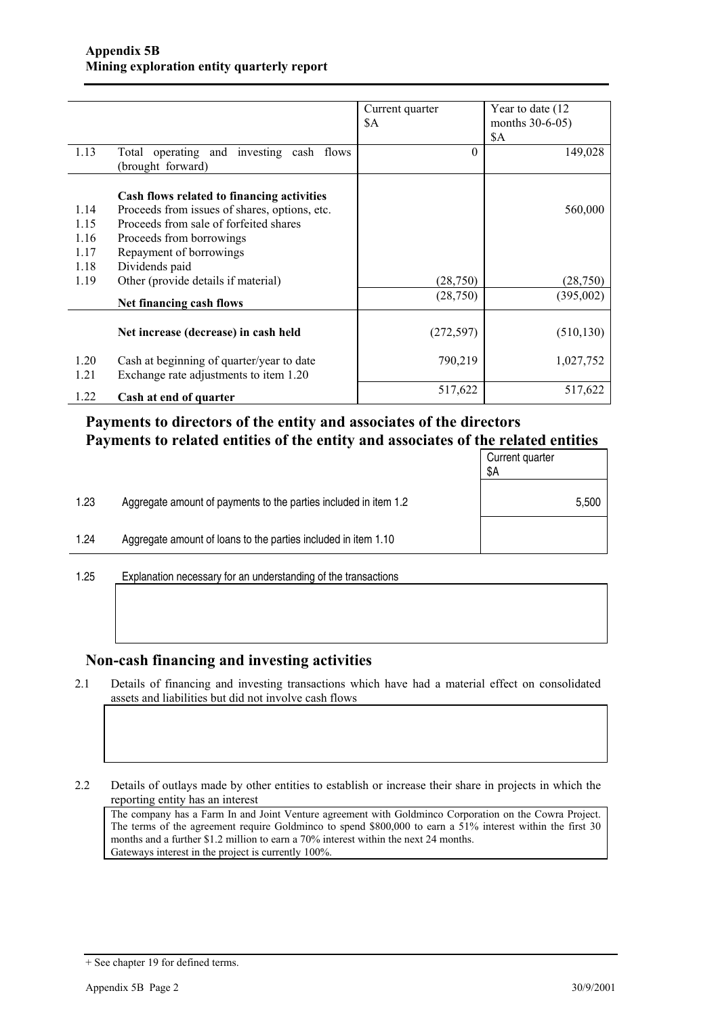|              |                                                                                     | Current quarter<br>\$A | Year to date (12)<br>months 30-6-05) |
|--------------|-------------------------------------------------------------------------------------|------------------------|--------------------------------------|
|              |                                                                                     |                        | \$A                                  |
| 1.13         | Total operating and investing cash flows<br>(brought forward)                       | $\theta$               | 149,028                              |
|              | Cash flows related to financing activities                                          |                        |                                      |
| 1.14         | Proceeds from issues of shares, options, etc.                                       |                        | 560,000                              |
| 1.15         | Proceeds from sale of forfeited shares                                              |                        |                                      |
| 1.16         | Proceeds from borrowings                                                            |                        |                                      |
| 1.17         | Repayment of borrowings                                                             |                        |                                      |
| 1.18         | Dividends paid                                                                      |                        |                                      |
| 1.19         | Other (provide details if material)                                                 | (28,750)               | (28, 750)                            |
|              | Net financing cash flows                                                            | (28,750)               | (395,002)                            |
|              | Net increase (decrease) in cash held                                                | (272, 597)             | (510, 130)                           |
| 1.20<br>1.21 | Cash at beginning of quarter/year to date<br>Exchange rate adjustments to item 1.20 | 790,219                | 1,027,752                            |
| 1.22         | Cash at end of quarter                                                              | 517,622                | 517,622                              |

### **Payments to directors of the entity and associates of the directors Payments to related entities of the entity and associates of the related entities**

|      |                                                                  | Current quarter<br>\$Α |
|------|------------------------------------------------------------------|------------------------|
| 1.23 | Aggregate amount of payments to the parties included in item 1.2 | 5,500                  |
| 1.24 | Aggregate amount of loans to the parties included in item 1.10   |                        |
|      |                                                                  |                        |

1.25 Explanation necessary for an understanding of the transactions

#### **Non-cash financing and investing activities**

2.1 Details of financing and investing transactions which have had a material effect on consolidated assets and liabilities but did not involve cash flows

2.2 Details of outlays made by other entities to establish or increase their share in projects in which the reporting entity has an interest

The company has a Farm In and Joint Venture agreement with Goldminco Corporation on the Cowra Project. The terms of the agreement require Goldminco to spend \$800,000 to earn a 51% interest within the first 30 months and a further \$1.2 million to earn a 70% interest within the next 24 months. Gateways interest in the project is currently 100%.

<sup>+</sup> See chapter 19 for defined terms.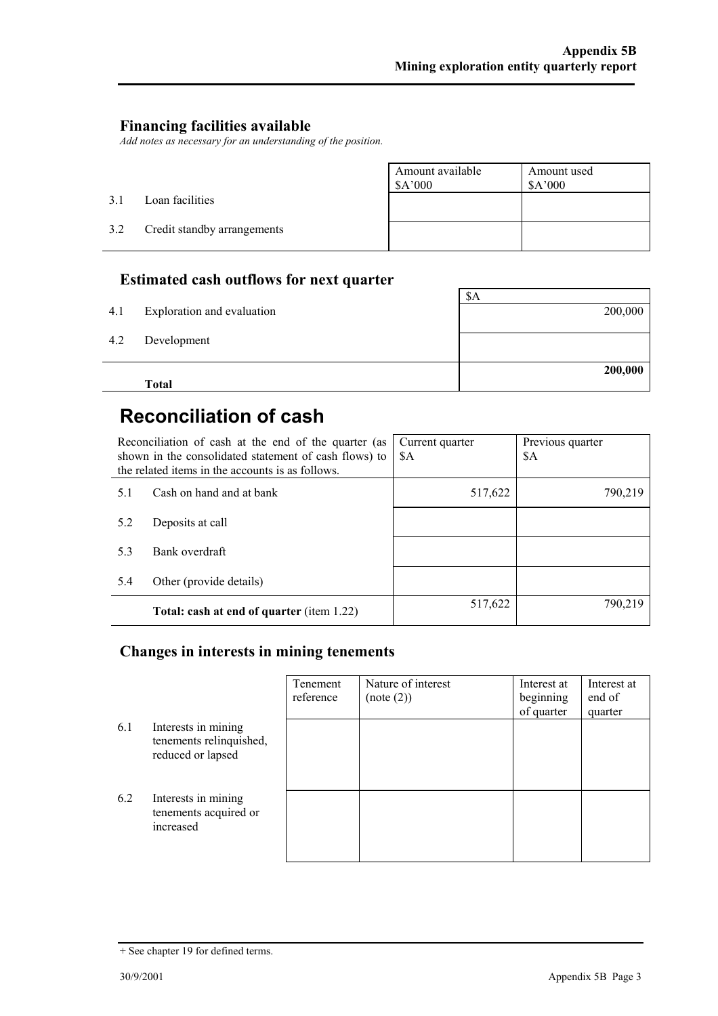### **Financing facilities available**

*Add notes as necessary for an understanding of the position.*

|     |                             | Amount available<br>\$A'000 | Amount used<br>\$A'000 |
|-----|-----------------------------|-----------------------------|------------------------|
| 3.1 | Loan facilities             |                             |                        |
| 3.2 | Credit standby arrangements |                             |                        |

### **Estimated cash outflows for next quarter**

|     | <b>Total</b>               | 200,000 |
|-----|----------------------------|---------|
| 4.2 | Development                |         |
| 4.1 | Exploration and evaluation | 200,000 |
|     |                            | \$A     |

# **Reconciliation of cash**

|     | Reconciliation of cash at the end of the quarter (as<br>shown in the consolidated statement of cash flows) to<br>the related items in the accounts is as follows. | Current quarter<br>\$A | Previous quarter<br>\$A |
|-----|-------------------------------------------------------------------------------------------------------------------------------------------------------------------|------------------------|-------------------------|
| 5.1 | Cash on hand and at bank                                                                                                                                          | 517,622                | 790,219                 |
| 5.2 | Deposits at call                                                                                                                                                  |                        |                         |
| 5.3 | Bank overdraft                                                                                                                                                    |                        |                         |
| 5.4 | Other (provide details)                                                                                                                                           |                        |                         |
|     | <b>Total: cash at end of quarter (item 1.22)</b>                                                                                                                  | 517,622                | 790,219                 |

### **Changes in interests in mining tenements**

|     |                                                                     | Tenement<br>reference | Nature of interest<br>(note (2)) | Interest at<br>beginning<br>of quarter | Interest at<br>end of<br>quarter |
|-----|---------------------------------------------------------------------|-----------------------|----------------------------------|----------------------------------------|----------------------------------|
| 6.1 | Interests in mining<br>tenements relinquished,<br>reduced or lapsed |                       |                                  |                                        |                                  |
| 6.2 | Interests in mining<br>tenements acquired or<br>increased           |                       |                                  |                                        |                                  |

<sup>+</sup> See chapter 19 for defined terms.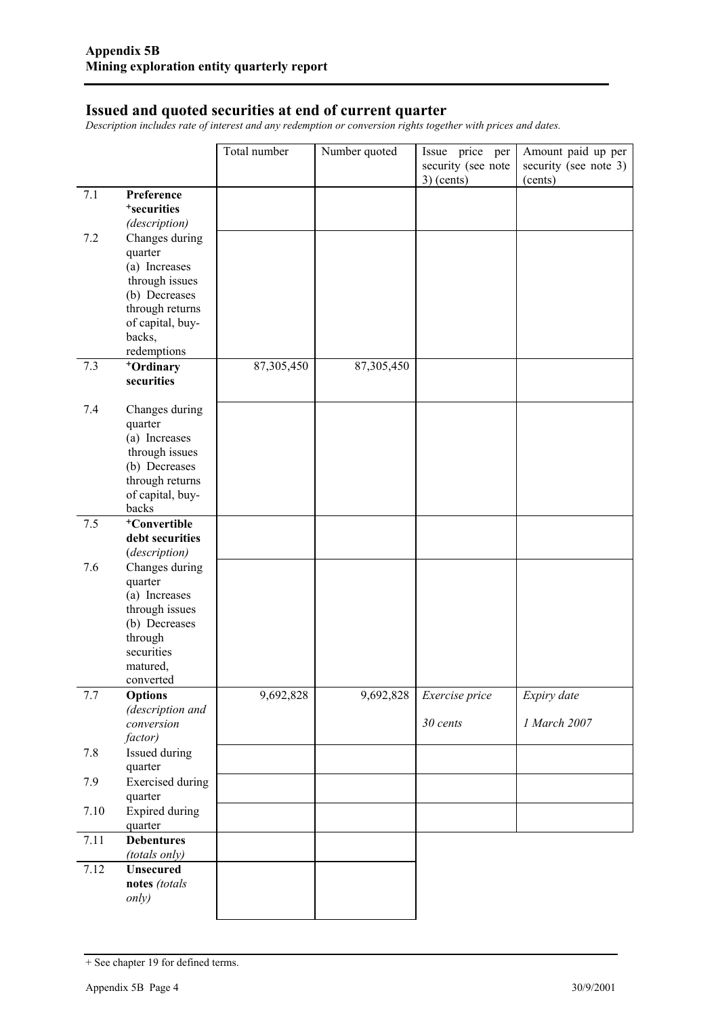#### **Issued and quoted securities at end of current quarter**

*Description includes rate of interest and any redemption or conversion rights together with prices and dates.*

|      |                                       | Total number | Number quoted | Issue price per                    | Amount paid up per               |
|------|---------------------------------------|--------------|---------------|------------------------------------|----------------------------------|
|      |                                       |              |               | security (see note<br>$3)$ (cents) | security (see note 3)<br>(cents) |
| 7.1  | Preference<br><sup>+</sup> securities |              |               |                                    |                                  |
|      | (description)                         |              |               |                                    |                                  |
| 7.2  | Changes during                        |              |               |                                    |                                  |
|      | quarter                               |              |               |                                    |                                  |
|      | (a) Increases<br>through issues       |              |               |                                    |                                  |
|      | (b) Decreases                         |              |               |                                    |                                  |
|      | through returns                       |              |               |                                    |                                  |
|      | of capital, buy-<br>backs,            |              |               |                                    |                                  |
|      | redemptions                           |              |               |                                    |                                  |
| 7.3  | +Ordinary                             | 87,305,450   | 87,305,450    |                                    |                                  |
|      | securities                            |              |               |                                    |                                  |
| 7.4  | Changes during                        |              |               |                                    |                                  |
|      | quarter<br>(a) Increases              |              |               |                                    |                                  |
|      | through issues                        |              |               |                                    |                                  |
|      | (b) Decreases                         |              |               |                                    |                                  |
|      | through returns<br>of capital, buy-   |              |               |                                    |                                  |
|      | backs                                 |              |               |                                    |                                  |
| 7.5  | <sup>+</sup> Convertible              |              |               |                                    |                                  |
|      | debt securities                       |              |               |                                    |                                  |
| 7.6  | (description)<br>Changes during       |              |               |                                    |                                  |
|      | quarter                               |              |               |                                    |                                  |
|      | (a) Increases                         |              |               |                                    |                                  |
|      | through issues<br>(b) Decreases       |              |               |                                    |                                  |
|      | through                               |              |               |                                    |                                  |
|      | securities                            |              |               |                                    |                                  |
|      | matured,                              |              |               |                                    |                                  |
| 7.7  | converted<br><b>Options</b>           | 9,692,828    | 9,692,828     | Exercise price                     | Expiry date                      |
|      | (description and                      |              |               |                                    |                                  |
|      | conversion                            |              |               | 30 cents                           | 1 March 2007                     |
| 7.8  | factor)<br>Issued during              |              |               |                                    |                                  |
|      | quarter                               |              |               |                                    |                                  |
| 7.9  | <b>Exercised</b> during               |              |               |                                    |                                  |
|      | quarter                               |              |               |                                    |                                  |
| 7.10 | <b>Expired during</b><br>quarter      |              |               |                                    |                                  |
| 7.11 | <b>Debentures</b>                     |              |               |                                    |                                  |
|      | (totals only)                         |              |               |                                    |                                  |
| 7.12 | <b>Unsecured</b><br>notes (totals     |              |               |                                    |                                  |
|      | only)                                 |              |               |                                    |                                  |
|      |                                       |              |               |                                    |                                  |

<sup>+</sup> See chapter 19 for defined terms.